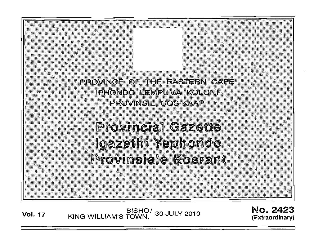

BISHO/ 30 JULY 2010<br>KING WILLIAM'S TOWN, 30 JULY 2010 **Vol. 17** 

No. 2423 (Extraordinary)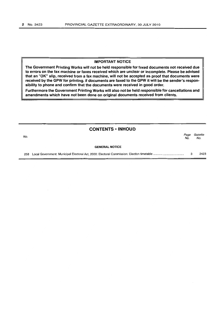#### IMPORTANT NOTICE

The Government Printing Works will not be held responsible for faxed documents not received due to errors on the fax machine or faxes received which are unclear or incomplete. Please be advised that an "OK" slip, received from a fax machine, will not be accepted as proof that documents were received by the GPW for printing. If documents are faxed to the GPW it will be the sender's responsibility to phone and confirm that the documents were received in good order.

Furthermore the Government Printing Works will also not be held responsible for cancellations and amendments which have not been done on original documents received from clients.

| <b>CONTENTS • INHOUD</b> |                       |             |                |
|--------------------------|-----------------------|-------------|----------------|
| No.                      |                       | Page<br>No. | Gazette<br>No. |
|                          | <b>GENERAL NOTICE</b> |             |                |
|                          |                       | з           | 2423           |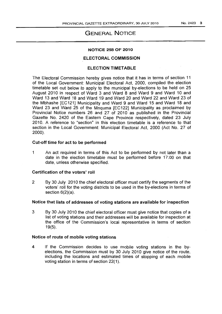# GENERAL NOTICE

#### NOTICE 258 OF 2010

# ELECTORAL COMMISSION

# ELECTION TIMETABLE

The Electoral Commission hereby gives notice that it has in terms of section 11 of the Local Government: Municipal Electoral Act, 2000, compiled the election timetable set out below to apply to the municipal by-elections to be held on 25 August 2010 in respect of Ward 3 and Ward 8 and Ward 9 and Ward 10 and Ward 13 and Ward 18 and Ward 19· and Ward 20 and Ward 22 and Ward 23 of the Mbhashe [EC121] Municipality and Ward 9 and Ward 15 and Ward 18 and Ward 23 and Ward 25 of the Mnquma [EC122] Municipality as proclaimed by Provincial Notice numbers 26 and 27 of 2010 as published in the Provincial Gazette No. 2420 of the Eastern Cape Province respectively, dated 23 July 2010. A reference to "section" in this election timetable is a reference to that section in the Local Government: Municipal Electoral Act, 2000 (Act No. 27 of 2000).

#### Cut-off time for act to be performed

1 An act required in terms of this Act to be performed by not later than a date in the election timetable must be performed before 17:00 on that date, unless otherwise specified.

#### Certification of the voters' roll

2 By 30 July 2010 the chief electoral officer must certify the segments of the voters' roll for the voting districts to be used in the by-elections in terms of section 6(2)(a).

### Notice that lists of addresses of voting stations are available for inspection

3 By 30 July 2010 the chief electoral officer must give notice that copies of a list of voting stations and their addresses will be available for inspection at the office of the Commission's local representative in terms of section 19(5).

### Notice of route of mobile voting stations

4 If the Commission decides to use mobile voting stations in the byelections, the Commission must by 30 July 2010 give notice of the route, including the locations and estimated times of stopping of each mobile voting station in terms of section 22( 1).